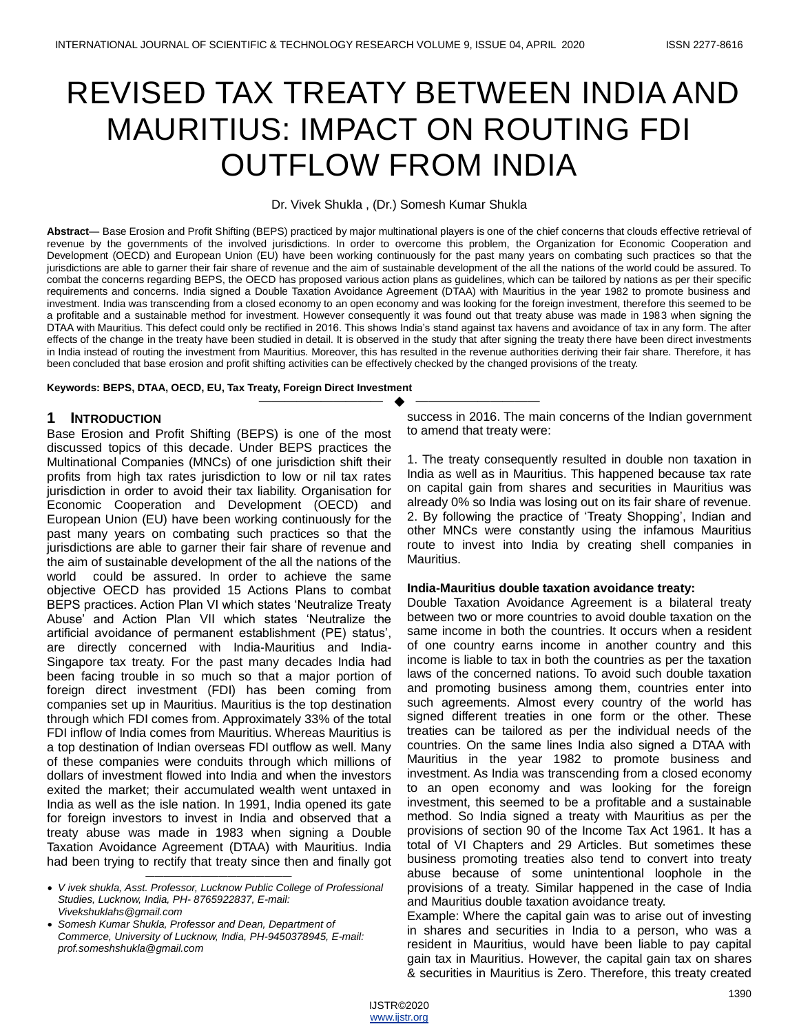# REVISED TAX TREATY BETWEEN INDIA AND MAURITIUS: IMPACT ON ROUTING FDI OUTFLOW FROM INDIA

Dr. Vivek Shukla , (Dr.) Somesh Kumar Shukla

**Abstract**— Base Erosion and Profit Shifting (BEPS) practiced by major multinational players is one of the chief concerns that clouds effective retrieval of revenue by the governments of the involved jurisdictions. In order to overcome this problem, the Organization for Economic Cooperation and Development (OECD) and European Union (EU) have been working continuously for the past many years on combating such practices so that the jurisdictions are able to garner their fair share of revenue and the aim of sustainable development of the all the nations of the world could be assured. To combat the concerns regarding BEPS, the OECD has proposed various action plans as guidelines, which can be tailored by nations as per their specific requirements and concerns. India signed a Double Taxation Avoidance Agreement (DTAA) with Mauritius in the year 1982 to promote business and investment. India was transcending from a closed economy to an open economy and was looking for the foreign investment, therefore this seemed to be a profitable and a sustainable method for investment. However consequently it was found out that treaty abuse was made in 1983 when signing the DTAA with Mauritius. This defect could only be rectified in 2016. This shows India"s stand against tax havens and avoidance of tax in any form. The after effects of the change in the treaty have been studied in detail. It is observed in the study that after signing the treaty there have been direct investments in India instead of routing the investment from Mauritius. Moreover, this has resulted in the revenue authorities deriving their fair share. Therefore, it has been concluded that base erosion and profit shifting activities can be effectively checked by the changed provisions of the treaty.

—————————— ——————————

**Keywords: BEPS, DTAA, OECD, EU, Tax Treaty, Foreign Direct Investment**

## **1 INTRODUCTION**

Base Erosion and Profit Shifting (BEPS) is one of the most discussed topics of this decade. Under BEPS practices the Multinational Companies (MNCs) of one jurisdiction shift their profits from high tax rates jurisdiction to low or nil tax rates jurisdiction in order to avoid their tax liability. Organisation for Economic Cooperation and Development (OECD) and European Union (EU) have been working continuously for the past many years on combating such practices so that the jurisdictions are able to garner their fair share of revenue and the aim of sustainable development of the all the nations of the world could be assured. In order to achieve the same objective OECD has provided 15 Actions Plans to combat BEPS practices. Action Plan VI which states "Neutralize Treaty Abuse" and Action Plan VII which states "Neutralize the artificial avoidance of permanent establishment (PE) status", are directly concerned with India-Mauritius and India-Singapore tax treaty. For the past many decades India had been facing trouble in so much so that a major portion of foreign direct investment (FDI) has been coming from companies set up in Mauritius. Mauritius is the top destination through which FDI comes from. Approximately 33% of the total FDI inflow of India comes from Mauritius. Whereas Mauritius is a top destination of Indian overseas FDI outflow as well. Many of these companies were conduits through which millions of dollars of investment flowed into India and when the investors exited the market; their accumulated wealth went untaxed in India as well as the isle nation. In 1991, India opened its gate for foreign investors to invest in India and observed that a treaty abuse was made in 1983 when signing a Double Taxation Avoidance Agreement (DTAA) with Mauritius. India had been trying to rectify that treaty since then and finally got

———————————————— *V ivek shukla, Asst. Professor, Lucknow Public College of Professional Studies, Lucknow, India, PH- 8765922837, E-mail: Vivekshuklahs@gmail.com*

 *Somesh Kumar Shukla, Professor and Dean, Department of Commerce, University of Lucknow, India, PH-9450378945, E-mail: prof.someshshukla@gmail.com*

success in 2016. The main concerns of the Indian government to amend that treaty were:

1. The treaty consequently resulted in double non taxation in India as well as in Mauritius. This happened because tax rate on capital gain from shares and securities in Mauritius was already 0% so India was losing out on its fair share of revenue. 2. By following the practice of "Treaty Shopping", Indian and other MNCs were constantly using the infamous Mauritius route to invest into India by creating shell companies in Mauritius.

#### **India-Mauritius double taxation avoidance treaty:**

Double Taxation Avoidance Agreement is a bilateral treaty between two or more countries to avoid double taxation on the same income in both the countries. It occurs when a resident of one country earns income in another country and this income is liable to tax in both the countries as per the taxation laws of the concerned nations. To avoid such double taxation and promoting business among them, countries enter into such agreements. Almost every country of the world has signed different treaties in one form or the other. These treaties can be tailored as per the individual needs of the countries. On the same lines India also signed a DTAA with Mauritius in the year 1982 to promote business and investment. As India was transcending from a closed economy to an open economy and was looking for the foreign investment, this seemed to be a profitable and a sustainable method. So India signed a treaty with Mauritius as per the provisions of section 90 of the Income Tax Act 1961. It has a total of VI Chapters and 29 Articles. But sometimes these business promoting treaties also tend to convert into treaty abuse because of some unintentional loophole in the provisions of a treaty. Similar happened in the case of India and Mauritius double taxation avoidance treaty.

Example: Where the capital gain was to arise out of investing in shares and securities in India to a person, who was a resident in Mauritius, would have been liable to pay capital gain tax in Mauritius. However, the capital gain tax on shares & securities in Mauritius is Zero. Therefore, this treaty created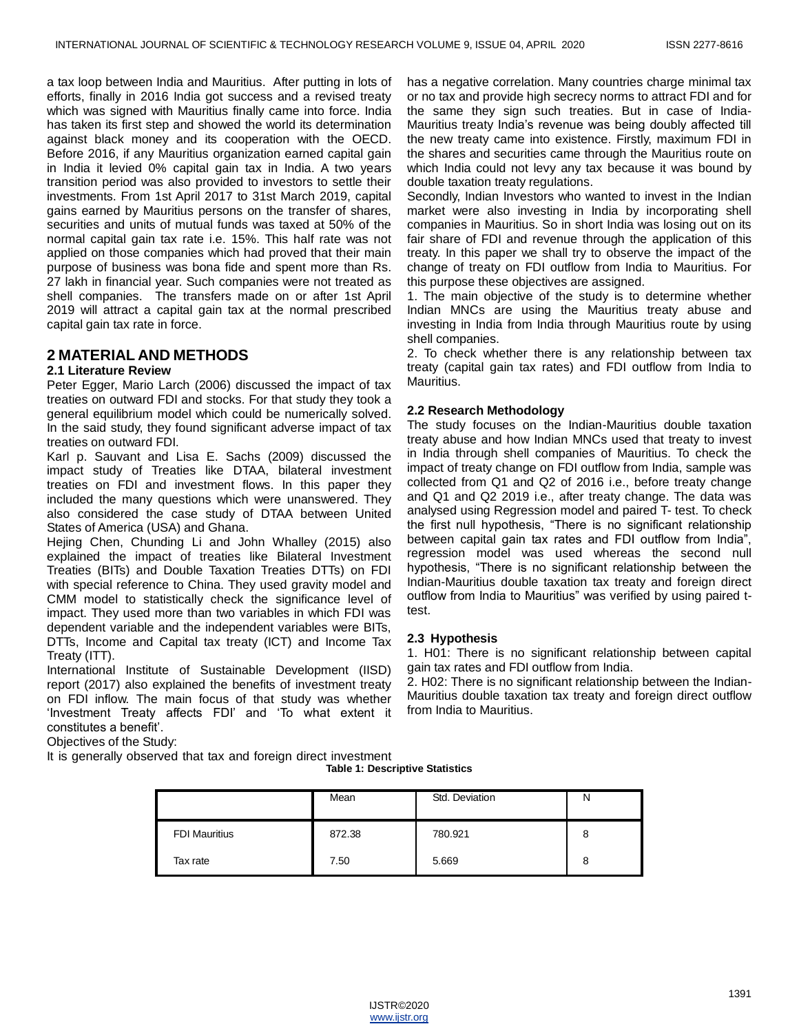a tax loop between India and Mauritius. After putting in lots of efforts, finally in 2016 India got success and a revised treaty which was signed with Mauritius finally came into force. India has taken its first step and showed the world its determination against black money and its cooperation with the OECD. Before 2016, if any Mauritius organization earned capital gain in India it levied 0% capital gain tax in India. A two years transition period was also provided to investors to settle their investments. From 1st April 2017 to 31st March 2019, capital gains earned by Mauritius persons on the transfer of shares, securities and units of mutual funds was taxed at 50% of the normal capital gain tax rate i.e. 15%. This half rate was not applied on those companies which had proved that their main purpose of business was bona fide and spent more than Rs. 27 lakh in financial year. Such companies were not treated as shell companies. The transfers made on or after 1st April 2019 will attract a capital gain tax at the normal prescribed capital gain tax rate in force.

# **2 MATERIAL AND METHODS**

### **2.1 Literature Review**

Peter Egger, Mario Larch (2006) discussed the impact of tax treaties on outward FDI and stocks. For that study they took a general equilibrium model which could be numerically solved. In the said study, they found significant adverse impact of tax treaties on outward FDI.

Karl p. Sauvant and Lisa E. Sachs (2009) discussed the impact study of Treaties like DTAA, bilateral investment treaties on FDI and investment flows. In this paper they included the many questions which were unanswered. They also considered the case study of DTAA between United States of America (USA) and Ghana.

Hejing Chen, Chunding Li and John Whalley (2015) also explained the impact of treaties like Bilateral Investment Treaties (BITs) and Double Taxation Treaties DTTs) on FDI with special reference to China. They used gravity model and CMM model to statistically check the significance level of impact. They used more than two variables in which FDI was dependent variable and the independent variables were BITs, DTTs, Income and Capital tax treaty (ICT) and Income Tax Treaty (ITT).

International Institute of Sustainable Development (IISD) report (2017) also explained the benefits of investment treaty on FDI inflow. The main focus of that study was whether "Investment Treaty affects FDI" and "To what extent it constitutes a benefit".

has a negative correlation. Many countries charge minimal tax or no tax and provide high secrecy norms to attract FDI and for the same they sign such treaties. But in case of India-Mauritius treaty India"s revenue was being doubly affected till the new treaty came into existence. Firstly, maximum FDI in the shares and securities came through the Mauritius route on which India could not levy any tax because it was bound by double taxation treaty regulations.

Secondly, Indian Investors who wanted to invest in the Indian market were also investing in India by incorporating shell companies in Mauritius. So in short India was losing out on its fair share of FDI and revenue through the application of this treaty. In this paper we shall try to observe the impact of the change of treaty on FDI outflow from India to Mauritius. For this purpose these objectives are assigned.

1. The main objective of the study is to determine whether Indian MNCs are using the Mauritius treaty abuse and investing in India from India through Mauritius route by using shell companies.

2. To check whether there is any relationship between tax treaty (capital gain tax rates) and FDI outflow from India to Mauritius.

### **2.2 Research Methodology**

The study focuses on the Indian-Mauritius double taxation treaty abuse and how Indian MNCs used that treaty to invest in India through shell companies of Mauritius. To check the impact of treaty change on FDI outflow from India, sample was collected from Q1 and Q2 of 2016 i.e., before treaty change and Q1 and Q2 2019 i.e., after treaty change. The data was analysed using Regression model and paired T- test. To check the first null hypothesis, "There is no significant relationship between capital gain tax rates and FDI outflow from India", regression model was used whereas the second null hypothesis, "There is no significant relationship between the Indian-Mauritius double taxation tax treaty and foreign direct outflow from India to Mauritius" was verified by using paired ttest.

#### **2.3 Hypothesis**

1. H01: There is no significant relationship between capital gain tax rates and FDI outflow from India.

2. H02: There is no significant relationship between the Indian-Mauritius double taxation tax treaty and foreign direct outflow from India to Mauritius.

Objectives of the Study:

It is generally observed that tax and foreign direct investment

**Table 1: Descriptive Statistics**

|                      | Mean   | Std. Deviation |   |
|----------------------|--------|----------------|---|
| <b>FDI Mauritius</b> | 872.38 | 780.921        | 8 |
| Tax rate             | 7.50   | 5.669          | 8 |

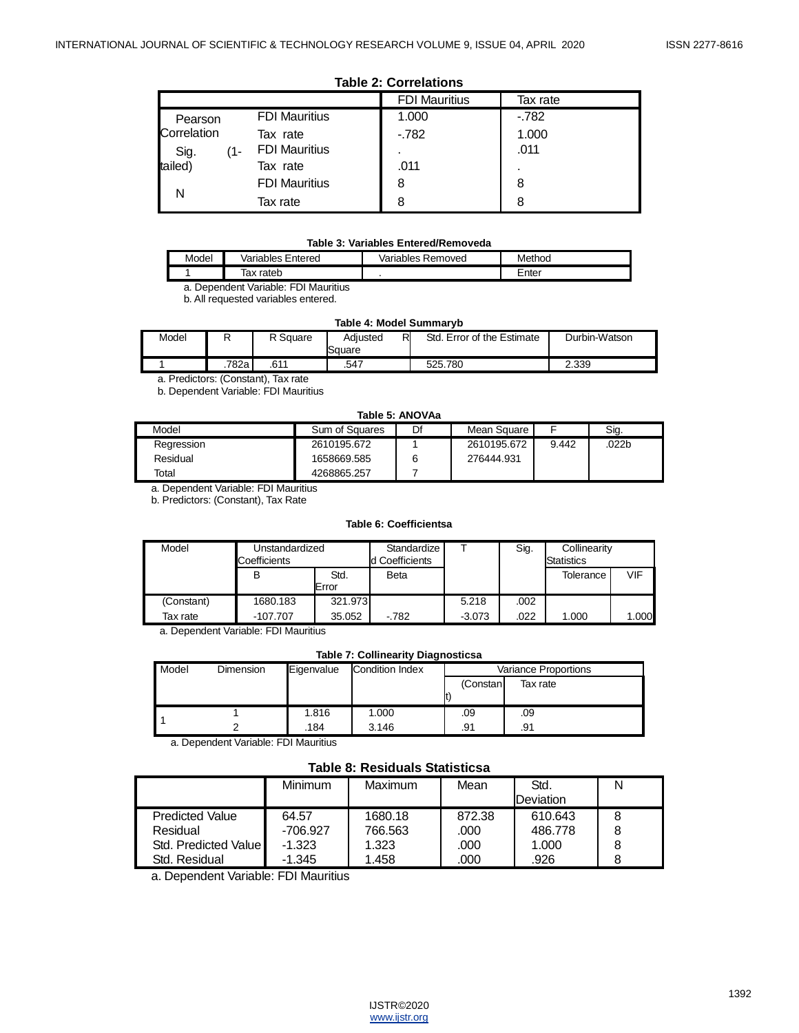#### **Table 2: Correlations**

|             |                      | <b>FDI Mauritius</b> | Tax rate |
|-------------|----------------------|----------------------|----------|
| Pearson     | <b>FDI Mauritius</b> | 1.000                | $-782$   |
| Correlation | Tax rate             | $-782$               | 1.000    |
| Sig.<br>11- | <b>FDI Mauritius</b> |                      | .011     |
| tailed)     | Tax rate             | .011                 |          |
|             | <b>FDI Mauritius</b> | 8                    | 8        |
|             | Tax rate             | 8                    | 8        |

#### **Table 3: Variables Entered/Removeda**

| Model | Entered<br>Variables | Variables<br>Removed | Method |
|-------|----------------------|----------------------|--------|
|       | rateb<br>ıax         |                      | Enter  |

a. Dependent Variable: FDI Mauritius

b. All requested variables entered.

#### **Table 4: Model Summaryb**

| Model |        | R Square | Adiusted<br>Square | R<br>Std.<br>Error of the Estimate.' | Durbin-Watson |
|-------|--------|----------|--------------------|--------------------------------------|---------------|
|       | 782a i | .611     | .547               | 525.780                              | 2.339         |

a. Predictors: (Constant), Tax rate

b. Dependent Variable: FDI Mauritius

#### **Table 5: ANOVAa**

| .          |                |    |             |       |       |  |  |  |
|------------|----------------|----|-------------|-------|-------|--|--|--|
| Model      | Sum of Squares | Df | Mean Square |       | Sig.  |  |  |  |
| Regression | 2610195.672    |    | 2610195.672 | 9.442 | .022b |  |  |  |
| Residual   | 1658669.585    |    | 276444.931  |       |       |  |  |  |
| Total      | 4268865.257    |    |             |       |       |  |  |  |

a. Dependent Variable: FDI Mauritius

b. Predictors: (Constant), Tax Rate

#### **Table 6: Coefficientsa**

| Model      | Unstandardized<br>Coefficients |               | Standardize<br>d Coefficients |          | Sig. | Collinearity<br><b>Statistics</b> |       |
|------------|--------------------------------|---------------|-------------------------------|----------|------|-----------------------------------|-------|
|            | в                              | Std.<br>Error | <b>Beta</b>                   |          |      | Tolerance                         | VIF   |
| (Constant) | 1680.183                       | 321.973       |                               | 5.218    | .002 |                                   |       |
| Tax rate   | $-107.707$                     | 35.052        | $-782$                        | $-3.073$ | .022 | 1.000                             | 1.000 |

a. Dependent Variable: FDI Mauritius

#### **Table 7: Collinearity Diagnosticsa**

| Model | Dimension | Eigenvalue | <b>Condition Index</b> | <b>Variance Proportions</b> |          |  |
|-------|-----------|------------|------------------------|-----------------------------|----------|--|
|       |           |            |                        | (Constan                    | Tax rate |  |
|       |           |            |                        |                             |          |  |
|       |           | 1.816      | 1.000                  | .09                         | .09      |  |
|       |           | .184       | 3.146                  | .91                         | .91      |  |

a. Dependent Variable: FDI Mauritius

## **Table 8: Residuals Statisticsa**

|                        | <b>Minimum</b> | Maximum | Mean   | Std.      |  |
|------------------------|----------------|---------|--------|-----------|--|
|                        |                |         |        | Deviation |  |
| <b>Predicted Value</b> | 64.57          | 1680.18 | 872.38 | 610.643   |  |
| Residual               | $-706.927$     | 766.563 | .000   | 486.778   |  |
| Std. Predicted Value   | -1.323         | 1.323   | .000   | 1.000     |  |
| Std. Residual          | $-1.345$       | 1.458   | .000   | .926      |  |

a. Dependent Variable: FDI Mauritius

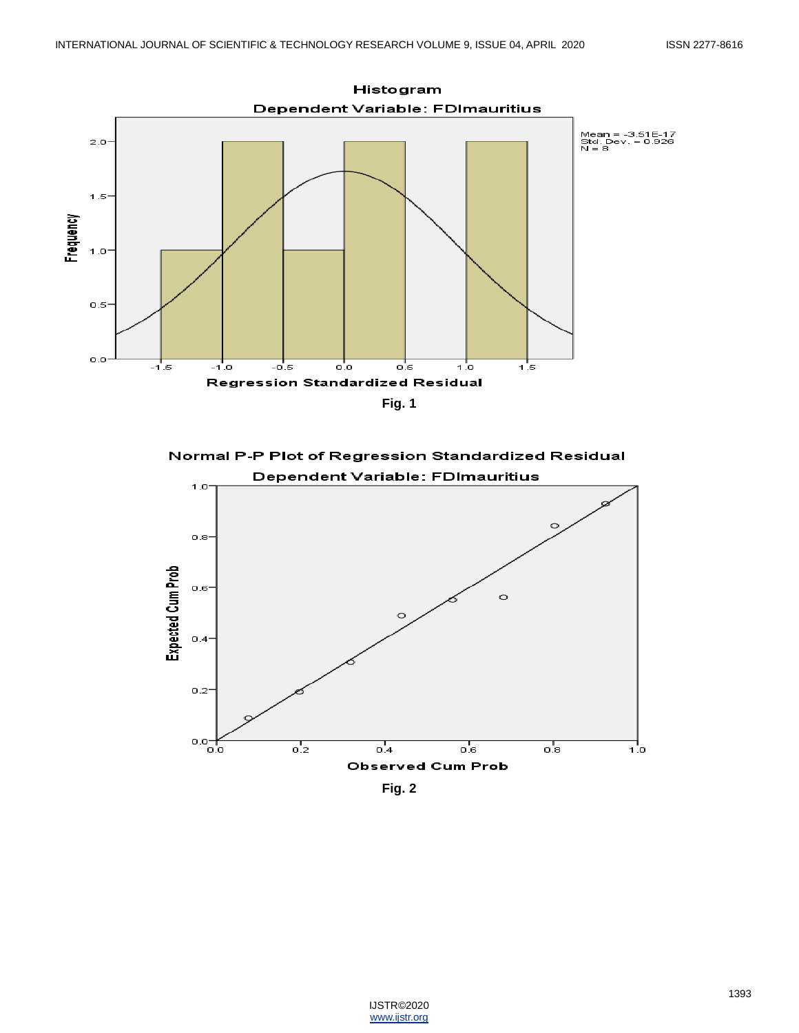

Normal P-P Plot of Regression Standardized Residual Dependent Variable: FDImauritius



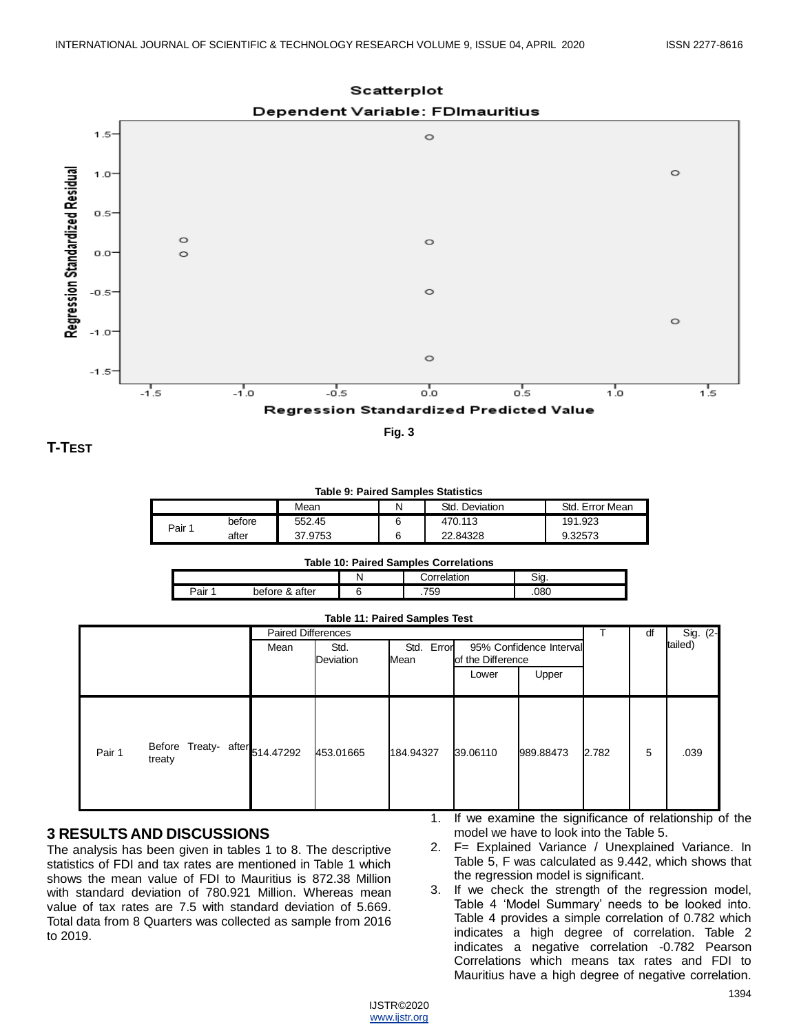





**Fig. 3**

**T-TEST**

 $1.5$ 

 $1.0$ 

 $0.5^{\circ}$ 

**Table 9: Paired Samples Statistics**

|      |        | Mean    |  | Std.<br>Deviation | Std.<br>Error Mean |  |  |
|------|--------|---------|--|-------------------|--------------------|--|--|
| Pair | before | 552.45  |  | 470.113           | 191.923            |  |  |
|      | after  | 37.9753 |  | 22.84328          | 9.32573            |  |  |

### **Table 10: Paired Samples Correlations**

|      |                      |  | н эг       | Sia  |  |  |
|------|----------------------|--|------------|------|--|--|
| ⊃air | after<br>pefore<br>ă |  | 750<br>່ວະ | .080 |  |  |

|                                                    |      | <b>Paired Differences</b> |                       |                   |                         |       |   | Sig. (2- |
|----------------------------------------------------|------|---------------------------|-----------------------|-------------------|-------------------------|-------|---|----------|
|                                                    | Mean | Std.<br>Deviation         | Error<br>Std.<br>Mean | of the Difference | 95% Confidence Interval |       |   | tailed)  |
|                                                    |      |                           |                       | Lower             | Upper                   |       |   |          |
| Before Treaty- after 514.47292<br>Pair 1<br>treaty |      | 453.01665                 | 184.94327             | 39.06110          | 989.88473               | 2.782 | 5 | .039     |

# **3 RESULTS AND DISCUSSIONS**

The analysis has been given in tables 1 to 8. The descriptive statistics of FDI and tax rates are mentioned in Table 1 which shows the mean value of FDI to Mauritius is 872.38 Million with standard deviation of 780.921 Million. Whereas mean value of tax rates are 7.5 with standard deviation of 5.669. Total data from 8 Quarters was collected as sample from 2016 to 2019.

- 1. If we examine the significance of relationship of the model we have to look into the Table 5.
- 2. F= Explained Variance / Unexplained Variance. In Table 5, F was calculated as 9.442, which shows that the regression model is significant.
- 3. If we check the strength of the regression model, Table 4 "Model Summary" needs to be looked into. Table 4 provides a simple correlation of 0.782 which indicates a high degree of correlation. Table 2 indicates a negative correlation -0.782 Pearson Correlations which means tax rates and FDI to Mauritius have a high degree of negative correlation.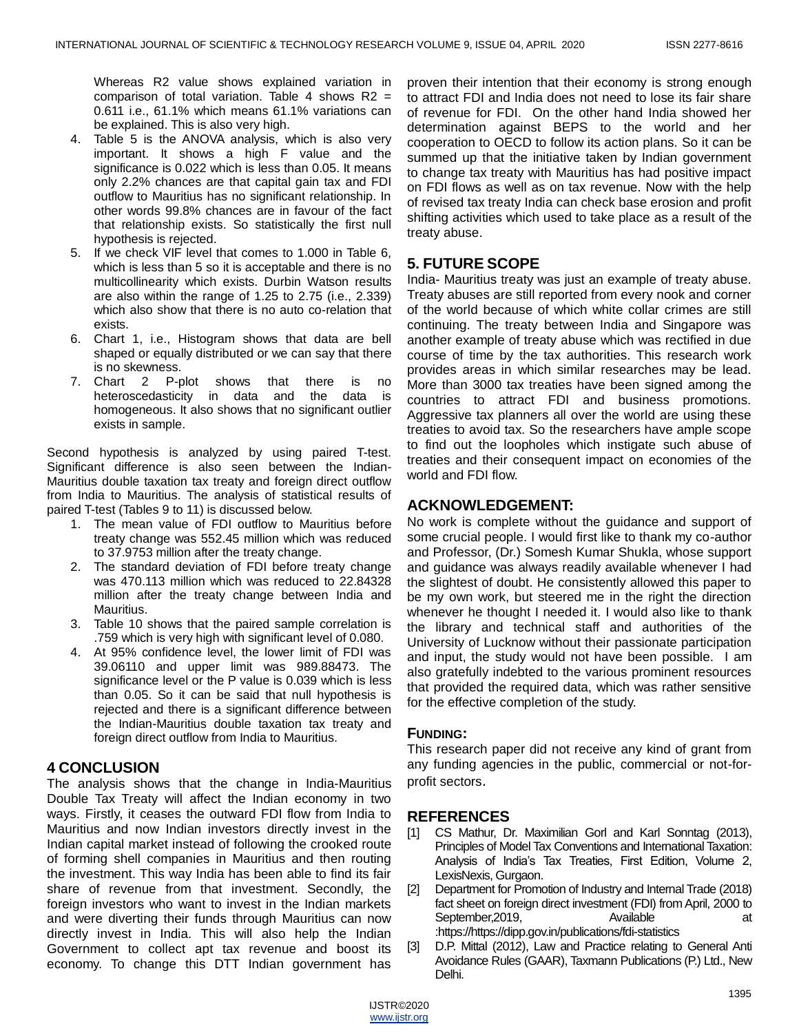Whereas R2 value shows explained variation in comparison of total variation. Table 4 shows  $R2 =$ 0.611 i.e., 61.1% which means 61.1% variations can be explained. This is also very high.

- 4. Table 5 is the ANOVA analysis, which is also very important. It shows a high F value and the significance is 0.022 which is less than 0.05. It means only 2.2% chances are that capital gain tax and FDI outflow to Mauritius has no significant relationship. In other words 99.8% chances are in favour of the fact that relationship exists. So statistically the first null hypothesis is rejected.
- 5. If we check VIF level that comes to 1.000 in Table 6, which is less than 5 so it is acceptable and there is no multicollinearity which exists. Durbin Watson results are also within the range of 1.25 to 2.75 (i.e., 2.339) which also show that there is no auto co-relation that exists.
- 6. Chart 1, i.e., Histogram shows that data are bell shaped or equally distributed or we can say that there is no skewness.
- 7. Chart 2 P-plot shows that there is no heteroscedasticity in data and the data is homogeneous. It also shows that no significant outlier exists in sample.

Second hypothesis is analyzed by using paired T-test. Significant difference is also seen between the Indian-Mauritius double taxation tax treaty and foreign direct outflow from India to Mauritius. The analysis of statistical results of paired T-test (Tables 9 to 11) is discussed below.

- 1. The mean value of FDI outflow to Mauritius before treaty change was 552.45 million which was reduced to 37.9753 million after the treaty change.
- 2. The standard deviation of FDI before treaty change was 470.113 million which was reduced to 22.84328 million after the treaty change between India and Mauritius.
- 3. Table 10 shows that the paired sample correlation is .759 which is very high with significant level of 0.080.
- 4. At 95% confidence level, the lower limit of FDI was 39.06110 and upper limit was 989.88473. The significance level or the P value is 0.039 which is less than 0.05. So it can be said that null hypothesis is rejected and there is a significant difference between the Indian-Mauritius double taxation tax treaty and foreign direct outflow from India to Mauritius.

## **4 CONCLUSION**

The analysis shows that the change in India-Mauritius Double Tax Treaty will affect the Indian economy in two ways. Firstly, it ceases the outward FDI flow from India to Mauritius and now Indian investors directly invest in the Indian capital market instead of following the crooked route of forming shell companies in Mauritius and then routing the investment. This way India has been able to find its fair share of revenue from that investment. Secondly, the foreign investors who want to invest in the Indian markets and were diverting their funds through Mauritius can now directly invest in India. This will also help the Indian Government to collect apt tax revenue and boost its economy. To change this DTT Indian government has

proven their intention that their economy is strong enough to attract FDI and India does not need to lose its fair share of revenue for FDI. On the other hand India showed her determination against BEPS to the world and her cooperation to OECD to follow its action plans. So it can be summed up that the initiative taken by Indian government to change tax treaty with Mauritius has had positive impact on FDI flows as well as on tax revenue. Now with the help of revised tax treaty India can check base erosion and profit shifting activities which used to take place as a result of the treaty abuse.

## **5. FUTURE SCOPE**

India- Mauritius treaty was just an example of treaty abuse. Treaty abuses are still reported from every nook and corner of the world because of which white collar crimes are still continuing. The treaty between India and Singapore was another example of treaty abuse which was rectified in due course of time by the tax authorities. This research work provides areas in which similar researches may be lead. More than 3000 tax treaties have been signed among the countries to attract FDI and business promotions. Aggressive tax planners all over the world are using these treaties to avoid tax. So the researchers have ample scope to find out the loopholes which instigate such abuse of treaties and their consequent impact on economies of the world and FDI flow.

# **ACKNOWLEDGEMENT:**

No work is complete without the guidance and support of some crucial people. I would first like to thank my co-author and Professor, (Dr.) Somesh Kumar Shukla, whose support and guidance was always readily available whenever I had the slightest of doubt. He consistently allowed this paper to be my own work, but steered me in the right the direction whenever he thought I needed it. I would also like to thank the library and technical staff and authorities of the University of Lucknow without their passionate participation and input, the study would not have been possible. I am also gratefully indebted to the various prominent resources that provided the required data, which was rather sensitive for the effective completion of the study.

### **FUNDING:**

This research paper did not receive any kind of grant from any funding agencies in the public, commercial or not-forprofit sectors.

### **REFERENCES**

- [1] CS Mathur, Dr. Maximilian Gorl and Karl Sonntag (2013), Principles of Model Tax Conventions and International Taxation: Analysis of India"s Tax Treaties, First Edition, Volume 2, LexisNexis, Gurgaon.
- [2] Department for Promotion of Industry and Internal Trade (2018) fact sheet on foreign direct investment (FDI) from April, 2000 to September, 2019, Available at at :https://https://dipp.gov.in/publications/fdi-statistics
- [3] D.P. Mittal (2012), Law and Practice relating to General Anti Avoidance Rules (GAAR), Taxmann Publications (P.) Ltd., New Delhi.